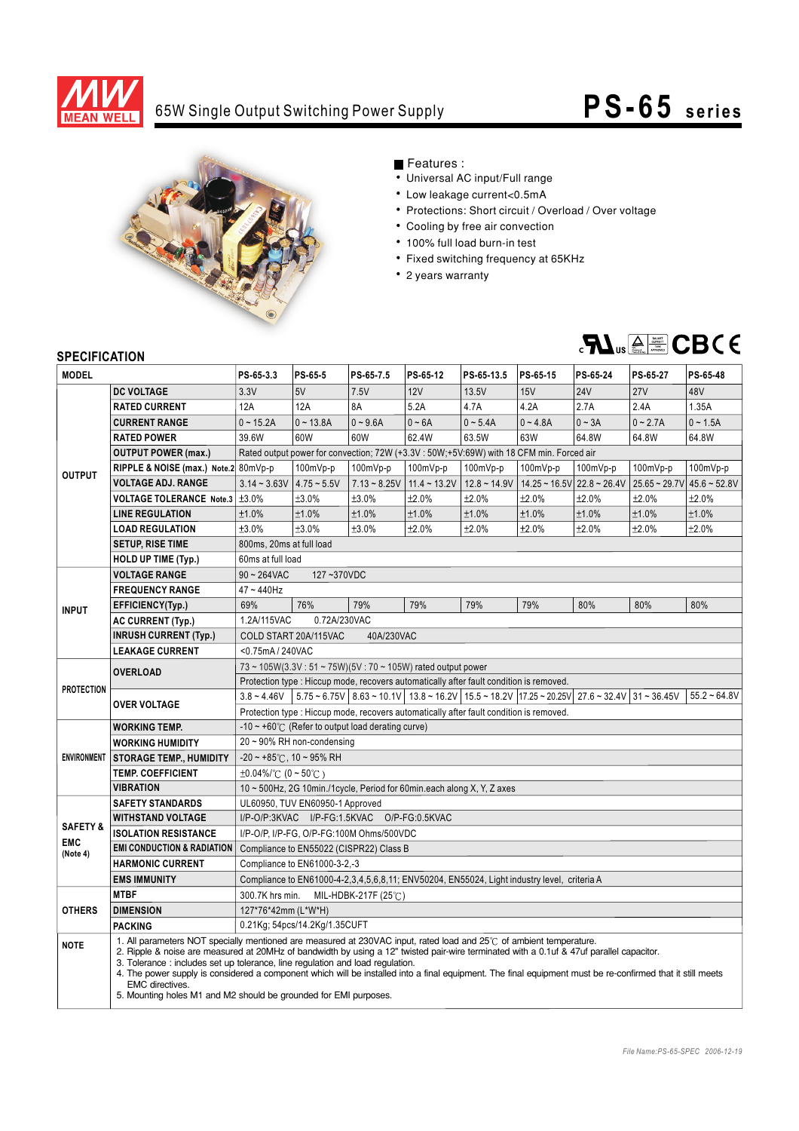

# 65W Single Output Switching Power Supply **PS- 65 series**



## Features :

- Universal AC input/Full range
- Low leakage current<0.5mA
- Protections: Short circuit / Overload / Over voltage
- Cooling by free air convection
- 100% full load burn-in test
- Fixed switching frequency at 65KHz
- 2 years warranty



### **SPECIFICATION**

| יוטו ועה וועם וט<br><b>MODEL</b>              |                                                                                                                                                                                                                                                                                                                                                                                                                                                                                                                                                                                                       | PS-65-3.3                                                                                                                             | PS-65-5       | PS-65-7.5      | PS-65-12       | PS-65-13.5     | PS-65-15   | PS-65-24                                     | PS-65-27        | PS-65-48       |
|-----------------------------------------------|-------------------------------------------------------------------------------------------------------------------------------------------------------------------------------------------------------------------------------------------------------------------------------------------------------------------------------------------------------------------------------------------------------------------------------------------------------------------------------------------------------------------------------------------------------------------------------------------------------|---------------------------------------------------------------------------------------------------------------------------------------|---------------|----------------|----------------|----------------|------------|----------------------------------------------|-----------------|----------------|
|                                               | <b>DC VOLTAGE</b>                                                                                                                                                                                                                                                                                                                                                                                                                                                                                                                                                                                     | 3.3V                                                                                                                                  | 5V            | 7.5V           | 12V            | 13.5V          | 15V        | <b>24V</b>                                   | 27V             | 48V            |
| <b>OUTPUT</b>                                 | <b>RATED CURRENT</b>                                                                                                                                                                                                                                                                                                                                                                                                                                                                                                                                                                                  | 12A                                                                                                                                   | 12A           | 8A             | 5.2A           | 4.7A           | 4.2A       | 2.7A                                         | 2.4A            | 1.35A          |
|                                               | <b>CURRENT RANGE</b>                                                                                                                                                                                                                                                                                                                                                                                                                                                                                                                                                                                  | $0 - 15.2A$                                                                                                                           | $0 - 13.8A$   | $0 - 9.6A$     | $0 - 6A$       | $0 - 5.4A$     | $0 - 4.8A$ | $0 - 3A$                                     | $0 - 2.7A$      | $0 - 1.5A$     |
|                                               |                                                                                                                                                                                                                                                                                                                                                                                                                                                                                                                                                                                                       |                                                                                                                                       |               |                |                |                |            |                                              |                 |                |
|                                               | <b>RATED POWER</b>                                                                                                                                                                                                                                                                                                                                                                                                                                                                                                                                                                                    | 39.6W                                                                                                                                 | 60W           | 60W            | 62.4W          | 63.5W          | 63W        | 64.8W                                        | 64.8W           | 64.8W          |
|                                               | <b>OUTPUT POWER (max.)</b>                                                                                                                                                                                                                                                                                                                                                                                                                                                                                                                                                                            | Rated output power for convection; 72W (+3.3V : 50W;+5V:69W) with 18 CFM min. Forced air                                              |               |                |                |                |            |                                              |                 |                |
|                                               | RIPPLE & NOISE (max.) Note.2 80mVp-p                                                                                                                                                                                                                                                                                                                                                                                                                                                                                                                                                                  |                                                                                                                                       | 100mVp-p      | 100mVp-p       | 100mVp-p       | 100mVp-p       | 100mVp-p   | 100mVp-p                                     | 100mVp-p        | 100mVp-p       |
|                                               | <b>VOLTAGE ADJ. RANGE</b>                                                                                                                                                                                                                                                                                                                                                                                                                                                                                                                                                                             | $3.14 - 3.63V$                                                                                                                        | $4.75 - 5.5V$ | $7.13 - 8.25V$ | $11.4 - 13.2V$ | $12.8 - 14.9V$ |            | $14.25 \approx 16.5$ V $22.8 \approx 26.4$ V | $25.65 - 29.7V$ | $45.6 - 52.8V$ |
|                                               | VOLTAGE TOLERANCE Note.3 ±3.0%                                                                                                                                                                                                                                                                                                                                                                                                                                                                                                                                                                        |                                                                                                                                       | ±3.0%         | ±3.0%          | ±2.0%          | ±2.0%          | ±2.0%      | ±2.0%                                        | $±2.0\%$        | ±2.0%          |
|                                               | <b>LINE REGULATION</b>                                                                                                                                                                                                                                                                                                                                                                                                                                                                                                                                                                                | ±1.0%                                                                                                                                 | ±1.0%         | ±1.0%          | ±1.0%          | ±1.0%          | ±1.0%      | ±1.0%                                        | ±1.0%           | ±1.0%          |
|                                               | <b>LOAD REGULATION</b>                                                                                                                                                                                                                                                                                                                                                                                                                                                                                                                                                                                | ±3.0%                                                                                                                                 | ±3.0%         | ±3.0%          | ±2.0%          | ±2.0%          | ±2.0%      | ±2.0%                                        | ±2.0%           | ±2.0%          |
|                                               | <b>SETUP, RISE TIME</b>                                                                                                                                                                                                                                                                                                                                                                                                                                                                                                                                                                               | 800ms, 20ms at full load                                                                                                              |               |                |                |                |            |                                              |                 |                |
|                                               | HOLD UP TIME (Typ.)                                                                                                                                                                                                                                                                                                                                                                                                                                                                                                                                                                                   | 60ms at full load                                                                                                                     |               |                |                |                |            |                                              |                 |                |
| <b>INPUT</b>                                  | <b>VOLTAGE RANGE</b>                                                                                                                                                                                                                                                                                                                                                                                                                                                                                                                                                                                  | $90 - 264$ VAC<br>127~370VDC                                                                                                          |               |                |                |                |            |                                              |                 |                |
|                                               | <b>FREQUENCY RANGE</b>                                                                                                                                                                                                                                                                                                                                                                                                                                                                                                                                                                                | 47~440Hz                                                                                                                              |               |                |                |                |            |                                              |                 |                |
|                                               | EFFICIENCY(Typ.)                                                                                                                                                                                                                                                                                                                                                                                                                                                                                                                                                                                      | 69%                                                                                                                                   | 76%           | 79%            | 79%            | 79%            | 79%        | 80%                                          | 80%             | 80%            |
|                                               | <b>AC CURRENT (Typ.)</b>                                                                                                                                                                                                                                                                                                                                                                                                                                                                                                                                                                              | 0.72A/230VAC<br>1.2A/115VAC                                                                                                           |               |                |                |                |            |                                              |                 |                |
|                                               | <b>INRUSH CURRENT (Typ.)</b>                                                                                                                                                                                                                                                                                                                                                                                                                                                                                                                                                                          | COLD START 20A/115VAC<br>40A/230VAC                                                                                                   |               |                |                |                |            |                                              |                 |                |
|                                               | <b>LEAKAGE CURRENT</b>                                                                                                                                                                                                                                                                                                                                                                                                                                                                                                                                                                                | <0.75mA / 240VAC                                                                                                                      |               |                |                |                |            |                                              |                 |                |
| <b>PROTECTION</b>                             | <b>OVERLOAD</b>                                                                                                                                                                                                                                                                                                                                                                                                                                                                                                                                                                                       | 73 ~ 105W(3.3V: 51 ~ 75W)(5V: 70 ~ 105W) rated output power                                                                           |               |                |                |                |            |                                              |                 |                |
|                                               |                                                                                                                                                                                                                                                                                                                                                                                                                                                                                                                                                                                                       | Protection type : Hiccup mode, recovers automatically after fault condition is removed.                                               |               |                |                |                |            |                                              |                 |                |
|                                               | <b>OVER VOLTAGE</b>                                                                                                                                                                                                                                                                                                                                                                                                                                                                                                                                                                                   | $5.75 \times 6.75V$ 8.63 ~ 10.1V 13.8 ~ 16.2V 15.5 ~ 18.2V 17.25 ~ 20.25V 27.6 ~ 32.4V 31 ~ 36.45V<br>$3.8 - 4.46V$<br>$55.2 - 64.8V$ |               |                |                |                |            |                                              |                 |                |
|                                               |                                                                                                                                                                                                                                                                                                                                                                                                                                                                                                                                                                                                       | Protection type : Hiccup mode, recovers automatically after fault condition is removed.                                               |               |                |                |                |            |                                              |                 |                |
| <b>ENVIRONMENT</b>                            | <b>WORKING TEMP.</b>                                                                                                                                                                                                                                                                                                                                                                                                                                                                                                                                                                                  | $-10 \sim +60^{\circ}$ (Refer to output load derating curve)                                                                          |               |                |                |                |            |                                              |                 |                |
|                                               | <b>WORKING HUMIDITY</b>                                                                                                                                                                                                                                                                                                                                                                                                                                                                                                                                                                               | 20~90% RH non-condensing                                                                                                              |               |                |                |                |            |                                              |                 |                |
|                                               | <b>STORAGE TEMP., HUMIDITY</b>                                                                                                                                                                                                                                                                                                                                                                                                                                                                                                                                                                        | $-20 \sim +85^{\circ}$ C, 10 ~ 95% RH                                                                                                 |               |                |                |                |            |                                              |                 |                |
|                                               | <b>TEMP. COEFFICIENT</b>                                                                                                                                                                                                                                                                                                                                                                                                                                                                                                                                                                              | $\pm 0.04\%$ (0 ~ 50°C)                                                                                                               |               |                |                |                |            |                                              |                 |                |
|                                               | <b>VIBRATION</b>                                                                                                                                                                                                                                                                                                                                                                                                                                                                                                                                                                                      | 10 ~ 500Hz, 2G 10min./1cycle, Period for 60min.each along X, Y, Z axes                                                                |               |                |                |                |            |                                              |                 |                |
|                                               | <b>SAFETY STANDARDS</b>                                                                                                                                                                                                                                                                                                                                                                                                                                                                                                                                                                               | UL60950, TUV EN60950-1 Approved                                                                                                       |               |                |                |                |            |                                              |                 |                |
| <b>SAFETY &amp;</b><br><b>EMC</b><br>(Note 4) | <b>WITHSTAND VOLTAGE</b>                                                                                                                                                                                                                                                                                                                                                                                                                                                                                                                                                                              | I/P-O/P:3KVAC I/P-FG:1.5KVAC O/P-FG:0.5KVAC                                                                                           |               |                |                |                |            |                                              |                 |                |
|                                               | <b>ISOLATION RESISTANCE</b>                                                                                                                                                                                                                                                                                                                                                                                                                                                                                                                                                                           | I/P-O/P, I/P-FG, O/P-FG:100M Ohms/500VDC                                                                                              |               |                |                |                |            |                                              |                 |                |
|                                               | <b>EMI CONDUCTION &amp; RADIATION</b>                                                                                                                                                                                                                                                                                                                                                                                                                                                                                                                                                                 | Compliance to EN55022 (CISPR22) Class B                                                                                               |               |                |                |                |            |                                              |                 |                |
|                                               | <b>HARMONIC CURRENT</b>                                                                                                                                                                                                                                                                                                                                                                                                                                                                                                                                                                               | Compliance to EN61000-3-2,-3                                                                                                          |               |                |                |                |            |                                              |                 |                |
|                                               | <b>EMS IMMUNITY</b>                                                                                                                                                                                                                                                                                                                                                                                                                                                                                                                                                                                   | Compliance to EN61000-4-2,3,4,5,6,8,11; ENV50204, EN55024, Light industry level, criteria A                                           |               |                |                |                |            |                                              |                 |                |
| <b>OTHERS</b>                                 | <b>MTBF</b>                                                                                                                                                                                                                                                                                                                                                                                                                                                                                                                                                                                           | 300.7K hrs min.<br>MIL-HDBK-217F (25 $\degree$ C)                                                                                     |               |                |                |                |            |                                              |                 |                |
|                                               | <b>DIMENSION</b>                                                                                                                                                                                                                                                                                                                                                                                                                                                                                                                                                                                      | 127*76*42mm (L*W*H)                                                                                                                   |               |                |                |                |            |                                              |                 |                |
|                                               | <b>PACKING</b>                                                                                                                                                                                                                                                                                                                                                                                                                                                                                                                                                                                        | 0.21Kg; 54pcs/14.2Kg/1.35CUFT                                                                                                         |               |                |                |                |            |                                              |                 |                |
| <b>NOTE</b>                                   | 1. All parameters NOT specially mentioned are measured at 230VAC input, rated load and 25°C of ambient temperature.<br>2. Ripple & noise are measured at 20MHz of bandwidth by using a 12" twisted pair-wire terminated with a 0.1uf & 47uf parallel capacitor.<br>3. Tolerance: includes set up tolerance, line regulation and load regulation.<br>4. The power supply is considered a component which will be installed into a final equipment. The final equipment must be re-confirmed that it still meets<br>EMC directives.<br>5. Mounting holes M1 and M2 should be grounded for EMI purposes. |                                                                                                                                       |               |                |                |                |            |                                              |                 |                |